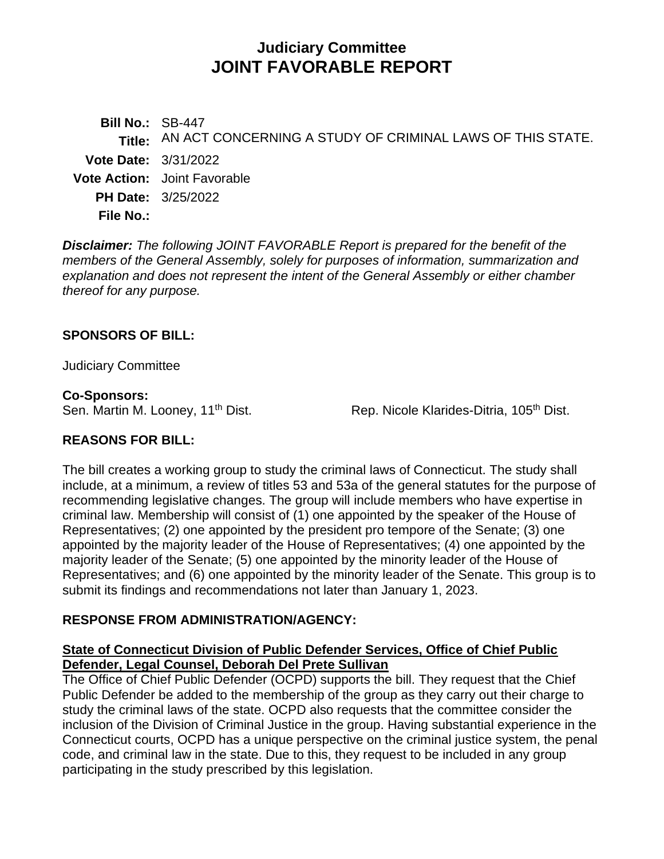# **Judiciary Committee JOINT FAVORABLE REPORT**

**Bill No.:** SB-447 **Title:** AN ACT CONCERNING A STUDY OF CRIMINAL LAWS OF THIS STATE. **Vote Date:** 3/31/2022 **Vote Action:** Joint Favorable **PH Date:** 3/25/2022 **File No.:**

*Disclaimer: The following JOINT FAVORABLE Report is prepared for the benefit of the members of the General Assembly, solely for purposes of information, summarization and explanation and does not represent the intent of the General Assembly or either chamber thereof for any purpose.*

### **SPONSORS OF BILL:**

Judiciary Committee

#### **Co-Sponsors:**

Sen. Martin M. Looney, 11<sup>th</sup> Dist. Rep. Nicole Klarides-Ditria, 105<sup>th</sup> Dist.

# **REASONS FOR BILL:**

The bill creates a working group to study the criminal laws of Connecticut. The study shall include, at a minimum, a review of titles 53 and 53a of the general statutes for the purpose of recommending legislative changes. The group will include members who have expertise in criminal law. Membership will consist of (1) one appointed by the speaker of the House of Representatives; (2) one appointed by the president pro tempore of the Senate; (3) one appointed by the majority leader of the House of Representatives; (4) one appointed by the majority leader of the Senate; (5) one appointed by the minority leader of the House of Representatives; and (6) one appointed by the minority leader of the Senate. This group is to submit its findings and recommendations not later than January 1, 2023.

### **RESPONSE FROM ADMINISTRATION/AGENCY:**

### **State of Connecticut Division of Public Defender Services, Office of Chief Public Defender, Legal Counsel, Deborah Del Prete Sullivan**

The Office of Chief Public Defender (OCPD) supports the bill. They request that the Chief Public Defender be added to the membership of the group as they carry out their charge to study the criminal laws of the state. OCPD also requests that the committee consider the inclusion of the Division of Criminal Justice in the group. Having substantial experience in the Connecticut courts, OCPD has a unique perspective on the criminal justice system, the penal code, and criminal law in the state. Due to this, they request to be included in any group participating in the study prescribed by this legislation.